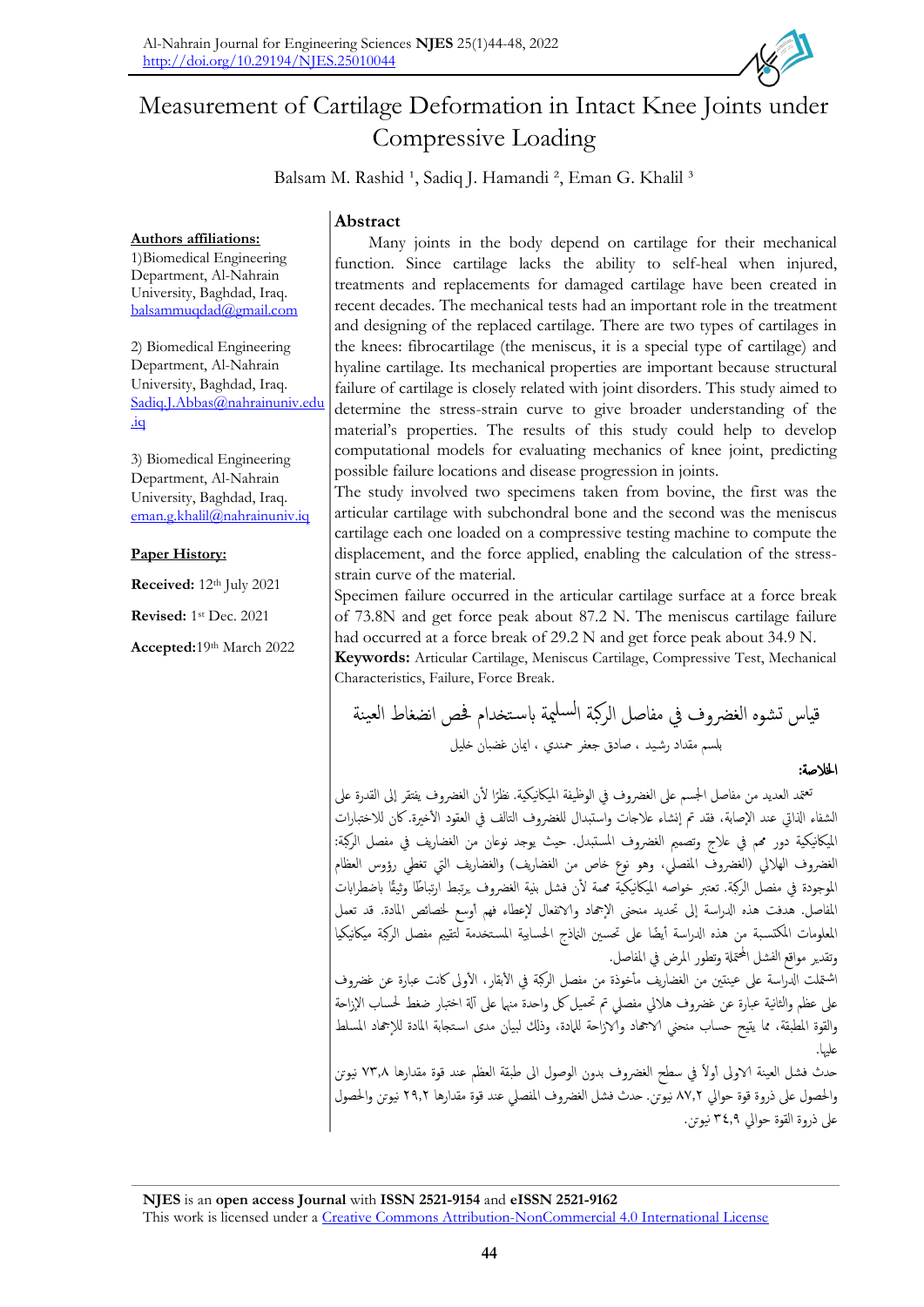

# Measurement of Cartilage Deformation in Intact Knee Joints under Compressive Loading

Balsam M. Rashid <sup>1</sup>, Sadiq J. Hamandi <sup>2</sup>, Eman G. Khalil <sup>3</sup>

# **Abstract**

**Authors affiliations:** 1)Biomedical Engineering Department, Al-Nahrain University, Baghdad, Iraq. [balsammuqdad@gmail.com](mailto:balsammuqdad@gmail.com)

2) Biomedical Engineering Department, Al-Nahrain University, Baghdad, Iraq. [Sadiq.J.Abbas@nahrainuniv.edu](mailto:Sadiq.J.Abbas@nahrainuniv.edu.iq) [.iq](mailto:Sadiq.J.Abbas@nahrainuniv.edu.iq)

3) Biomedical Engineering Department, Al-Nahrain University, Baghdad, Iraq. [eman.g.khalil@nahrainuniv.iq](mailto:eman.g.khalil@nahrainuniv.iq)

## **Paper History:**

**Received:** 12th July 2021

**Revised:** 1 st Dec. 2021

**Accepted:**19th March 2022

Many joints in the body depend on cartilage for their mechanical function. Since cartilage lacks the ability to self-heal when injured, treatments and replacements for damaged cartilage have been created in recent decades. The mechanical tests had an important role in the treatment and designing of the replaced cartilage. There are two types of cartilages in the knees: fibrocartilage (the meniscus, it is a special type of cartilage) and hyaline cartilage. Its mechanical properties are important because structural failure of cartilage is closely related with joint disorders. This study aimed to determine the stress-strain curve to give broader understanding of the material's properties. The results of this study could help to develop computational models for evaluating mechanics of knee joint, predicting possible failure locations and disease progression in joints.

The study involved two specimens taken from bovine, the first was the articular cartilage with subchondral bone and the second was the meniscus cartilage each one loaded on a compressive testing machine to compute the displacement, and the force applied, enabling the calculation of the stressstrain curve of the material.

Specimen failure occurred in the articular cartilage surface at a force break of 73.8N and get force peak about 87.2 N. The meniscus cartilage failure had occurred at a force break of 29.2 N and get force peak about 34.9 N.

**Keywords:** Articular Cartilage, Meniscus Cartilage, Compressive Test, Mechanical Characteristics, Failure, Force Break.

قياس تشوه الغرضوف يف مفاصل الركبة مية ا ابس تخدام حفص انضغاط العينة لسل بلسم مقداد رش يد ، صادق جعفر محندي ، اميان غضبان خليل اخلالصة:

نعتمد العديد من مفاصل الجسم على الغضروف في الوظيفة الميكانيكية. نظرًا لأن الغضروف يفتقر إلى القدرة على <mark>ا</mark> ً الشفاء الذاتي عند الإصابة، فقد تم إنشاء علاجات واستبدال للغضروف التالف في العقود الأخيرة. كان للاختبارات املياكنيكية دور همم يف عالج وتصممي الغرضوف املستبدل. حيث يوجد نوعان من الغضاريف يف مفصل الركبة: الغضروف الهلالي (الغضروف المفصلي، وهو نوع خاص من الغضاريف) والغضاريف التي تغطي رؤوس العظام الموجودة في مفصل الركبة. تعتبر خواصه الميكانيكية مممة لأن فشل بنية الغضروف يرتبط ارتباطًا وثيقًا باضطرابات المفاصل. هدفت هذه الدراسة إلى تحديد منحنى الإجماد والانفعال لإعطاء فهم أوسع لخصائص المادة. قد تعمل المعلومات المكتسبة من هذه الدراسة أيضًا على تحسين النماذج الحسابية المستخدمة لتقييم مفصل الركبة ميكانيكيا وتقدير مواقع الفشل المحتملة وتطور المرض في المفاصل. 'شتملت الدراسة على عينتين من الغضاريف مأخوذة من مفصل الركبة في الأبقار، الأولى كانت عبارة عن غضروف على عظم والثانية عبارة عن غضروف هلالي مفصلى تم تحميل كل واحدة منها على آلة اختبار ضغط لحساب الإزاحة والقوة المطبقة، مما يتيح حساب منحنى الاجحاد والازاحة للمادة، وذلك لبيان مدى استجابة المادة للإجحاد المسلط علهيا.

حدث فشل العينة الاولى أولاً في سطح الغضروف بدون الوصول الى طبقة العظم عند قوة مقدارها ٧٣٫٨ نيوتن والحصول على ذروة قوة حوالي ٨٧٫٢ نيوتن. حدث فشل الغضروف المفصلي عند قوة مقدارها ٢٩,٢ نيوتن والحصول عىل ذروة القوة حوايل 34.9 نيوتن.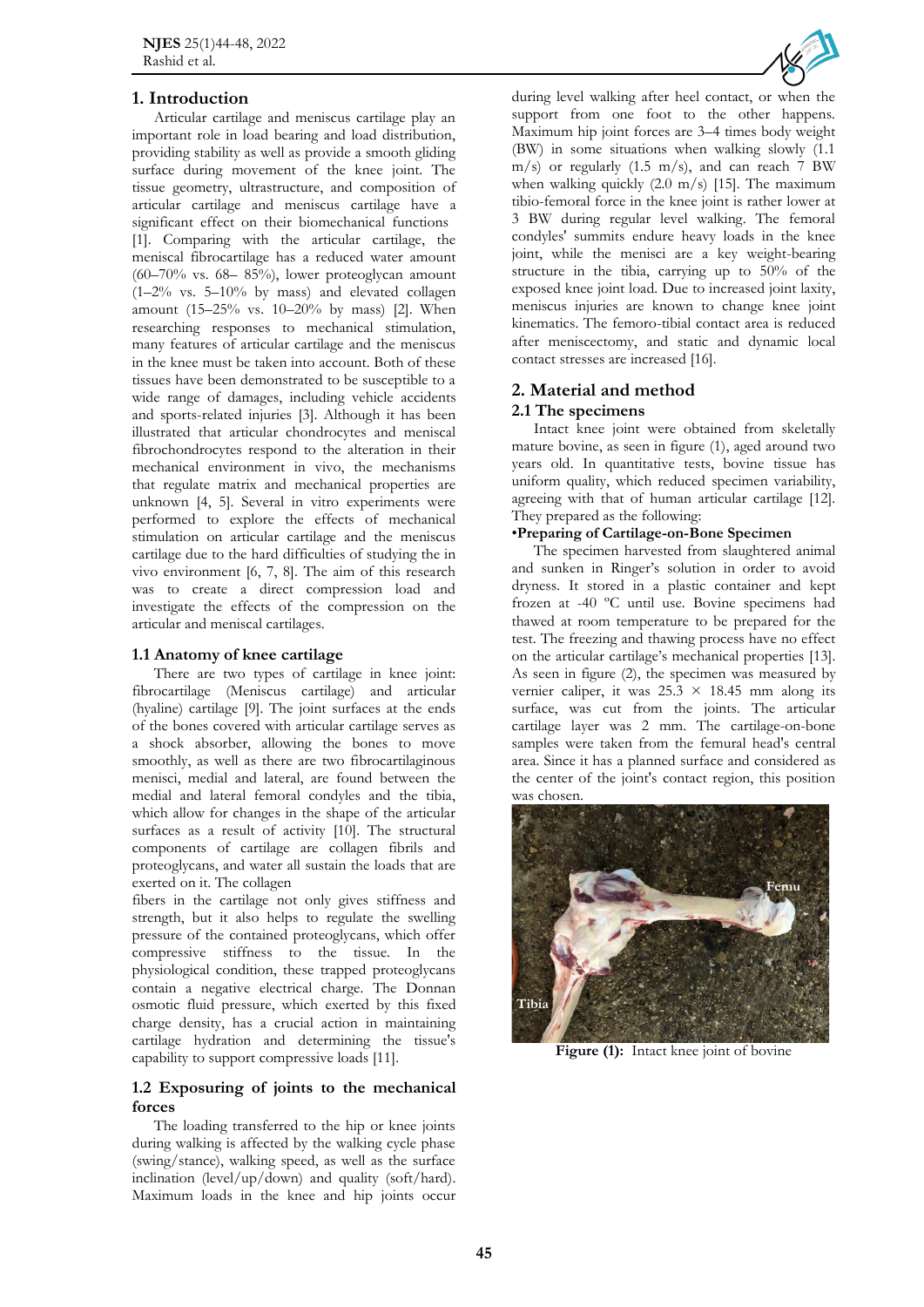# **1. Introduction**

Articular cartilage and meniscus cartilage play an important role in load bearing and load distribution, providing stability as well as provide a smooth gliding surface during movement of the knee joint. The tissue geometry, ultrastructure, and composition of articular cartilage and meniscus cartilage have a significant effect on their biomechanical functions [1]. Comparing with the articular cartilage, the meniscal fibrocartilage has a reduced water amount  $(60-70\%$  vs.  $68-85\%$ ), lower proteoglycan amount  $(1-2\%$  vs.  $5-10\%$  by mass) and elevated collagen amount (15–25% vs. 10–20% by mass) [2]. When researching responses to mechanical stimulation, many features of articular cartilage and the meniscus in the knee must be taken into account. Both of these tissues have been demonstrated to be susceptible to a wide range of damages, including vehicle accidents and sports-related injuries [3]. Although it has been illustrated that articular chondrocytes and meniscal fibrochondrocytes respond to the alteration in their mechanical environment in vivo, the mechanisms that regulate matrix and mechanical properties are unknown [4, 5]. Several in vitro experiments were performed to explore the effects of mechanical stimulation on articular cartilage and the meniscus cartilage due to the hard difficulties of studying the in vivo environment [6, 7, 8]. The aim of this research was to create a direct compression load and investigate the effects of the compression on the articular and meniscal cartilages.

#### **1.1 Anatomy of knee cartilage**

There are two types of cartilage in knee joint: fibrocartilage (Meniscus cartilage) and articular (hyaline) cartilage [9]. The joint surfaces at the ends of the bones covered with articular cartilage serves as a shock absorber, allowing the bones to move smoothly, as well as there are two fibrocartilaginous menisci, medial and lateral, are found between the medial and lateral femoral condyles and the tibia, which allow for changes in the shape of the articular surfaces as a result of activity [10]. The structural components of cartilage are collagen fibrils and proteoglycans, and water all sustain the loads that are exerted on it. The collagen

fibers in the cartilage not only gives stiffness and strength, but it also helps to regulate the swelling pressure of the contained proteoglycans, which offer compressive stiffness to the tissue. In the physiological condition, these trapped proteoglycans contain a negative electrical charge. The Donnan osmotic fluid pressure, which exerted by this fixed charge density, has a crucial action in maintaining cartilage hydration and determining the tissue's capability to support compressive loads [11].

#### **1.2 Exposuring of joints to the mechanical forces**

The loading transferred to the hip or knee joints during walking is affected by the walking cycle phase (swing/stance), walking speed, as well as the surface inclination (level/up/down) and quality (soft/hard). Maximum loads in the knee and hip joints occur



during level walking after heel contact, or when the support from one foot to the other happens. Maximum hip joint forces are 3–4 times body weight (BW) in some situations when walking slowly (1.1  $m/s$ ) or regularly (1.5 m/s), and can reach 7 BW when walking quickly  $(2.0 \text{ m/s})$  [15]. The maximum tibio-femoral force in the knee joint is rather lower at 3 BW during regular level walking. The femoral condyles' summits endure heavy loads in the knee joint, while the menisci are a key weight-bearing structure in the tibia, carrying up to 50% of the exposed knee joint load. Due to increased joint laxity, meniscus injuries are known to change knee joint kinematics. The femoro-tibial contact area is reduced after meniscectomy, and static and dynamic local contact stresses are increased [16].

# **2. Material and method 2.1 The specimens**

Intact knee joint were obtained from skeletally mature bovine, as seen in figure (1), aged around two years old. In quantitative tests, bovine tissue has uniform quality, which reduced specimen variability, agreeing with that of human articular cartilage [12]. They prepared as the following:

### •**Preparing of Cartilage-on-Bone Specimen**

The specimen harvested from slaughtered animal and sunken in Ringer's solution in order to avoid dryness. It stored in a plastic container and kept frozen at -40 ºC until use. Bovine specimens had thawed at room temperature to be prepared for the test. The freezing and thawing process have no effect on the articular cartilage's mechanical properties [13]. As seen in figure (2), the specimen was measured by vernier caliper, it was  $25.3 \times 18.45$  mm along its surface, was cut from the joints. The articular cartilage layer was 2 mm. The cartilage-on-bone samples were taken from the femural head's central area. Since it has a planned surface and considered as the center of the joint's contact region, this position was chosen.



**Figure (1):** Intact knee joint of bovine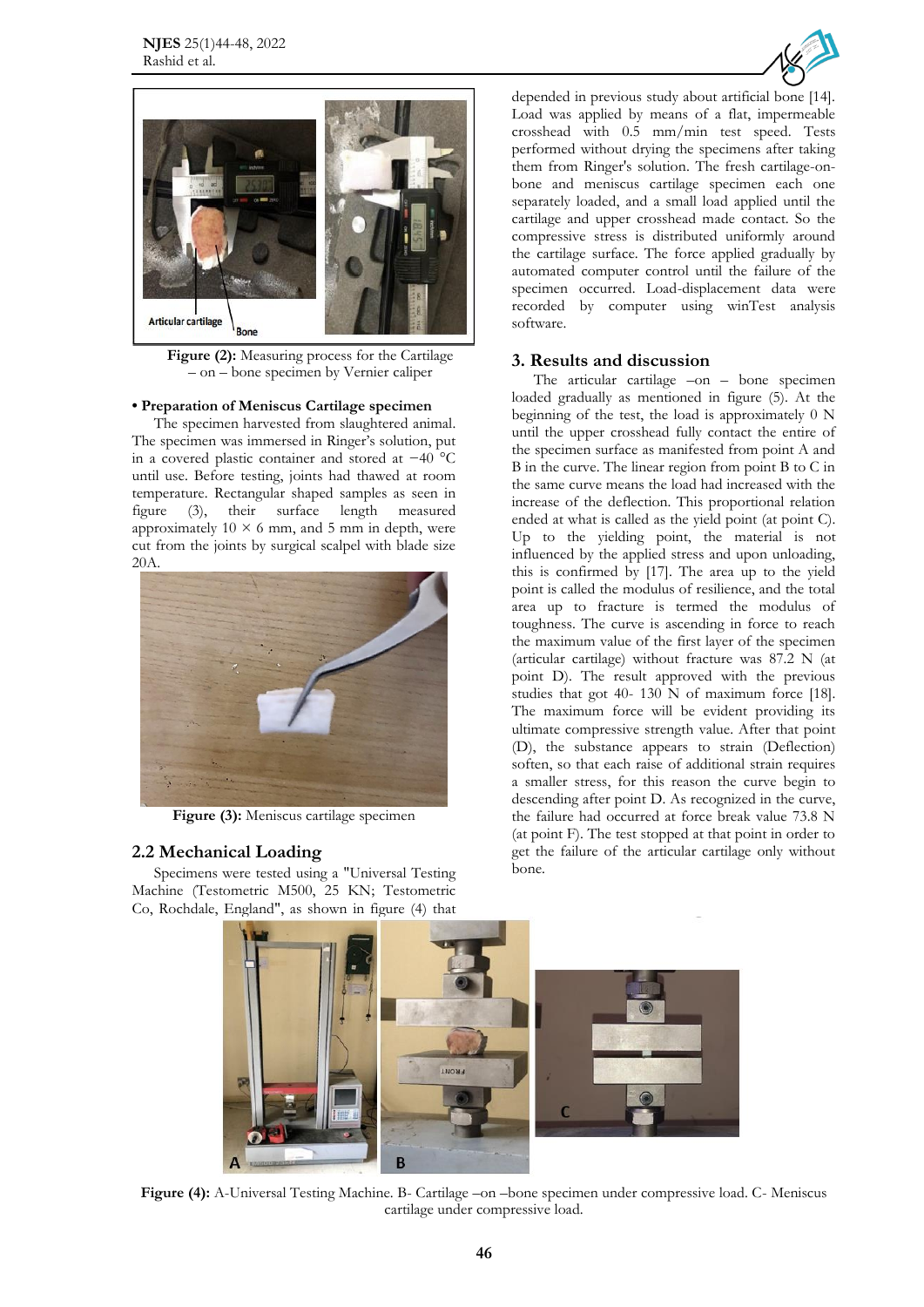



**Figure (2):** Measuring process for the Cartilage – on – bone specimen by Vernier caliper

#### **• Preparation of Meniscus Cartilage specimen**

The specimen harvested from slaughtered animal. The specimen was immersed in Ringer's solution, put in a covered plastic container and stored at −40 °C until use. Before testing, joints had thawed at room temperature. Rectangular shaped samples as seen in figure (3), their surface length measured approximately  $10 \times 6$  mm, and 5 mm in depth, were cut from the joints by surgical scalpel with blade size 20A.



**Figure (3):** Meniscus cartilage specimen

#### **2.2 Mechanical Loading**

Specimens were tested using a "Universal Testing Machine (Testometric M500, 25 KN; Testometric Co, Rochdale, England", as shown in figure (4) that

depended in previous study about artificial bone [14]. Load was applied by means of a flat, impermeable crosshead with 0.5 mm/min test speed. Tests performed without drying the specimens after taking them from Ringer's solution. The fresh cartilage-onbone and meniscus cartilage specimen each one separately loaded, and a small load applied until the cartilage and upper crosshead made contact. So the compressive stress is distributed uniformly around the cartilage surface. The force applied gradually by automated computer control until the failure of the specimen occurred. Load-displacement data were recorded by computer using winTest analysis software.

#### **3. Results and discussion**

The articular cartilage –on – bone specimen loaded gradually as mentioned in figure (5). At the beginning of the test, the load is approximately 0 N until the upper crosshead fully contact the entire of the specimen surface as manifested from point A and B in the curve. The linear region from point B to C in the same curve means the load had increased with the increase of the deflection. This proportional relation ended at what is called as the yield point (at point C). Up to the yielding point, the material is not influenced by the applied stress and upon unloading, this is confirmed by [17]. The area up to the yield point is called the modulus of resilience, and the total area up to fracture is termed the modulus of toughness. The curve is ascending in force to reach the maximum value of the first layer of the specimen (articular cartilage) without fracture was 87.2 N (at point D). The result approved with the previous studies that got 40- 130 N of maximum force [18]. The maximum force will be evident providing its ultimate compressive strength value. After that point (D), the substance appears to strain (Deflection) soften, so that each raise of additional strain requires a smaller stress, for this reason the curve begin to descending after point D. As recognized in the curve, the failure had occurred at force break value 73.8 N (at point F). The test stopped at that point in order to get the failure of the articular cartilage only without bone.



**Figure (4):** A-Universal Testing Machine. B- Cartilage –on –bone specimen under compressive load. C- Meniscus cartilage under compressive load.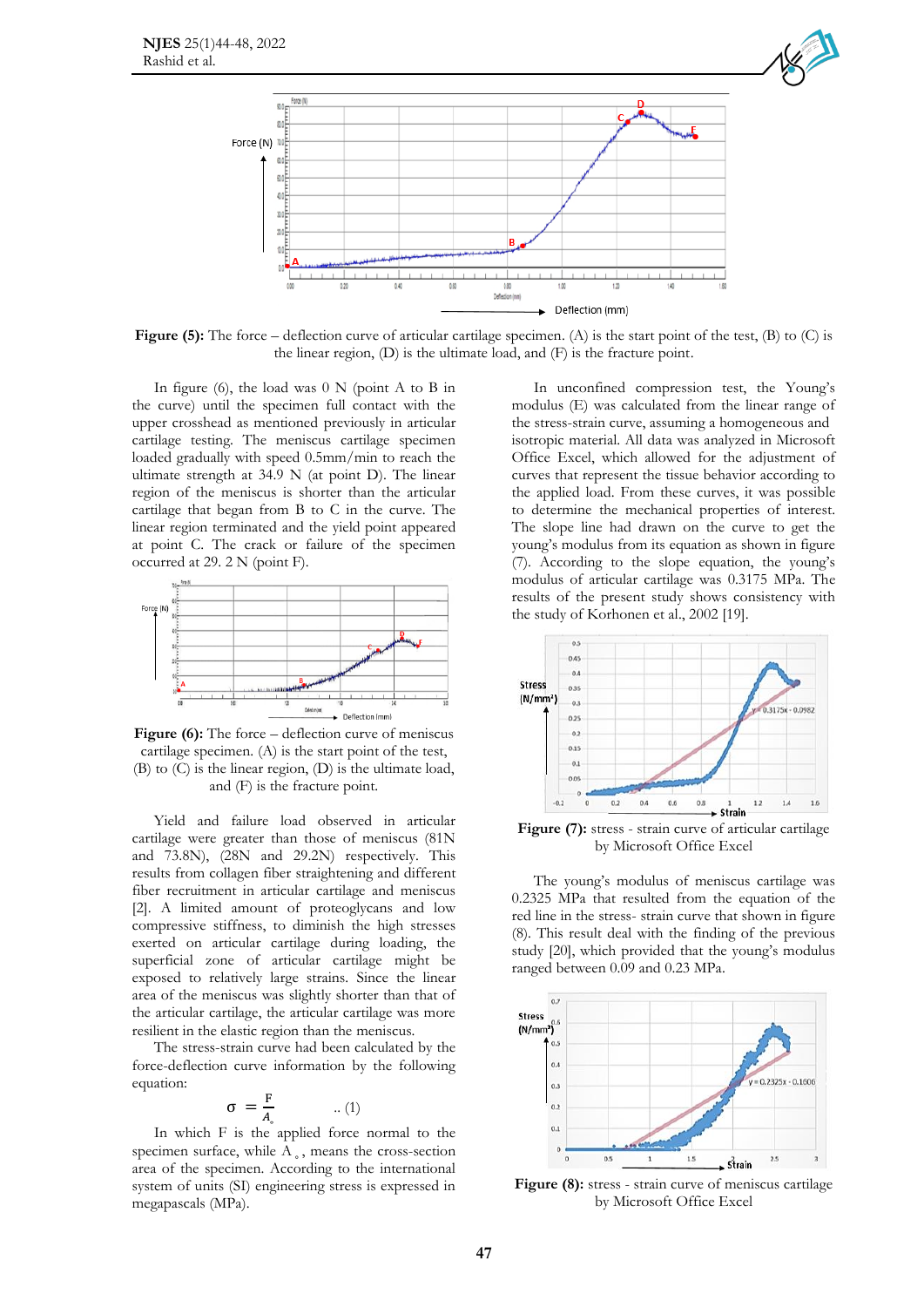

**Figure (5):** The force – deflection curve of articular cartilage specimen. (A) is the start point of the test, (B) to (C) is the linear region, (D) is the ultimate load, and (F) is the fracture point.

In figure (6), the load was  $0 \text{ N}$  (point A to B in the curve) until the specimen full contact with the upper crosshead as mentioned previously in articular cartilage testing. The meniscus cartilage specimen loaded gradually with speed 0.5mm/min to reach the ultimate strength at 34.9 N (at point D). The linear region of the meniscus is shorter than the articular cartilage that began from B to C in the curve. The linear region terminated and the yield point appeared at point C. The crack or failure of the specimen occurred at 29. 2 N (point F).



**Figure (6):** The force – deflection curve of meniscus cartilage specimen. (A) is the start point of the test, (B) to (C) is the linear region, (D) is the ultimate load, and (F) is the fracture point.

Yield and failure load observed in articular cartilage were greater than those of meniscus (81N and 73.8N), (28N and 29.2N) respectively. This results from collagen fiber straightening and different fiber recruitment in articular cartilage and meniscus [2]. A limited amount of proteoglycans and low compressive stiffness, to diminish the high stresses exerted on articular cartilage during loading, the superficial zone of articular cartilage might be exposed to relatively large strains. Since the linear area of the meniscus was slightly shorter than that of the articular cartilage, the articular cartilage was more resilient in the elastic region than the meniscus.

The stress-strain curve had been calculated by the force-deflection curve information by the following equation:

$$
\sigma = \frac{F}{A_{\circ}} \quad ...(1)
$$

In which F is the applied force normal to the specimen surface, while  $A_{\circ}$ , means the cross-section area of the specimen. According to the international system of units (SI) engineering stress is expressed in megapascals (MPa).

In unconfined compression test, the Young's modulus (E) was calculated from the linear range of the stress-strain curve, assuming a homogeneous and isotropic material. All data was analyzed in Microsoft Office Excel, which allowed for the adjustment of curves that represent the tissue behavior according to the applied load. From these curves, it was possible to determine the mechanical properties of interest. The slope line had drawn on the curve to get the young's modulus from its equation as shown in figure (7). According to the slope equation, the young's modulus of articular cartilage was 0.3175 MPa. The results of the present study shows consistency with the study of Korhonen et al., 2002 [19].



**Figure (7):** stress - strain curve of articular cartilage by Microsoft Office Excel

The young's modulus of meniscus cartilage was 0.2325 MPa that resulted from the equation of the red line in the stress- strain curve that shown in figure (8). This result deal with the finding of the previous study [20], which provided that the young's modulus ranged between 0.09 and 0.23 MPa.



**Figure (8):** stress - strain curve of meniscus cartilage by Microsoft Office Excel